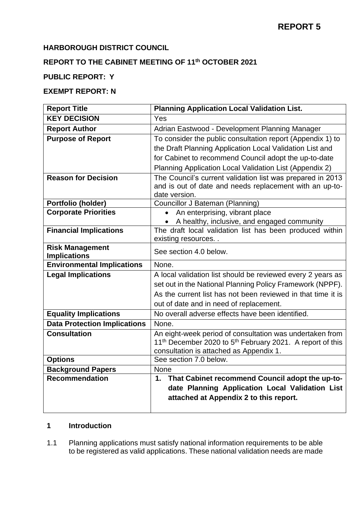# **HARBOROUGH DISTRICT COUNCIL**

# **REPORT TO THE CABINET MEETING OF 11th OCTOBER 2021**

## **PUBLIC REPORT: Y**

## **EXEMPT REPORT: N**

| <b>Report Title</b>                 | <b>Planning Application Local Validation List.</b>                                |
|-------------------------------------|-----------------------------------------------------------------------------------|
| <b>KEY DECISION</b>                 | Yes                                                                               |
| <b>Report Author</b>                | Adrian Eastwood - Development Planning Manager                                    |
| <b>Purpose of Report</b>            | To consider the public consultation report (Appendix 1) to                        |
|                                     | the Draft Planning Application Local Validation List and                          |
|                                     | for Cabinet to recommend Council adopt the up-to-date                             |
|                                     | Planning Application Local Validation List (Appendix 2)                           |
| <b>Reason for Decision</b>          | The Council's current validation list was prepared in 2013                        |
|                                     | and is out of date and needs replacement with an up-to-                           |
|                                     | date version.                                                                     |
| Portfolio (holder)                  | Councillor J Bateman (Planning)                                                   |
| <b>Corporate Priorities</b>         | An enterprising, vibrant place<br>$\bullet$                                       |
|                                     | A healthy, inclusive, and engaged community                                       |
| <b>Financial Implications</b>       | The draft local validation list has been produced within<br>existing resources    |
| <b>Risk Management</b>              |                                                                                   |
| <b>Implications</b>                 | See section 4.0 below.                                                            |
| <b>Environmental Implications</b>   | None.                                                                             |
| <b>Legal Implications</b>           | A local validation list should be reviewed every 2 years as                       |
|                                     | set out in the National Planning Policy Framework (NPPF).                         |
|                                     | As the current list has not been reviewed in that time it is                      |
|                                     | out of date and in need of replacement.                                           |
| <b>Equality Implications</b>        | No overall adverse effects have been identified.                                  |
| <b>Data Protection Implications</b> | None.                                                                             |
| <b>Consultation</b>                 | An eight-week period of consultation was undertaken from                          |
|                                     | 11 <sup>th</sup> December 2020 to 5 <sup>th</sup> February 2021. A report of this |
|                                     | consultation is attached as Appendix 1.                                           |
| <b>Options</b>                      | See section 7.0 below.                                                            |
| <b>Background Papers</b>            | <b>None</b>                                                                       |
| <b>Recommendation</b>               | That Cabinet recommend Council adopt the up-to-<br>1.                             |
|                                     | date Planning Application Local Validation List                                   |
|                                     | attached at Appendix 2 to this report.                                            |
|                                     |                                                                                   |

# **1 Introduction**

1.1 Planning applications must satisfy national information requirements to be able to be registered as valid applications. These national validation needs are made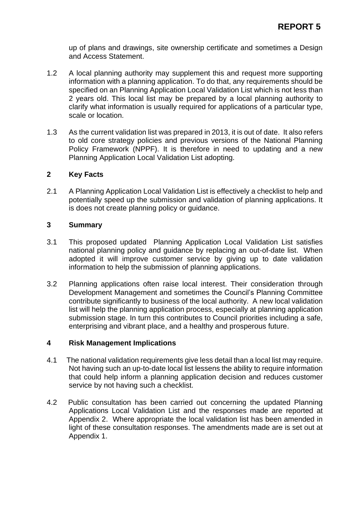up of plans and drawings, site ownership certificate and sometimes a Design and Access Statement.

- 1.2 A local planning authority may supplement this and request more supporting information with a planning application. To do that, any requirements should be specified on an Planning Application Local Validation List which is not less than 2 years old. This local list may be prepared by a local planning authority to clarify what information is usually required for applications of a particular type, scale or location.
- 1.3 As the current validation list was prepared in 2013, it is out of date. It also refers to old core strategy policies and previous versions of the National Planning Policy Framework (NPPF). It is therefore in need to updating and a new Planning Application Local Validation List adopting.

## **2 Key Facts**

2.1 A Planning Application Local Validation List is effectively a checklist to help and potentially speed up the submission and validation of planning applications. It is does not create planning policy or guidance.

### **3 Summary**

- 3.1 This proposed updated Planning Application Local Validation List satisfies national planning policy and guidance by replacing an out-of-date list. When adopted it will improve customer service by giving up to date validation information to help the submission of planning applications.
- 3.2 Planning applications often raise local interest. Their consideration through Development Management and sometimes the Council's Planning Committee contribute significantly to business of the local authority. A new local validation list will help the planning application process, especially at planning application submission stage. In turn this contributes to Council priorities including a safe, enterprising and vibrant place, and a healthy and prosperous future.

## **4 Risk Management Implications**

- 4.1 The national validation requirements give less detail than a local list may require. Not having such an up-to-date local list lessens the ability to require information that could help inform a planning application decision and reduces customer service by not having such a checklist.
- 4.2 Public consultation has been carried out concerning the updated Planning Applications Local Validation List and the responses made are reported at Appendix 2. Where appropriate the local validation list has been amended in light of these consultation responses. The amendments made are is set out at Appendix 1.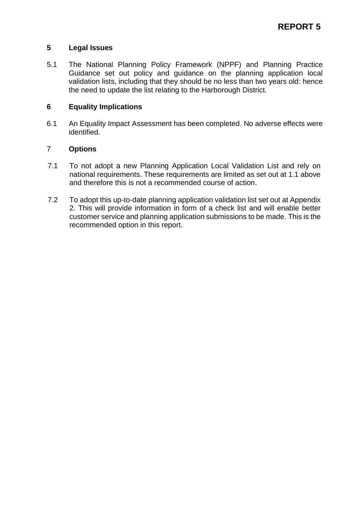## **5 Legal Issues**

5.1 The National Planning Policy Framework (NPPF) and Planning Practice Guidance set out policy and guidance on the planning application local validation lists, including that they should be no less than two years old: hence the need to update the list relating to the Harborough District.

### **6 Equality Implications**

6.1 An Equality Impact Assessment has been completed. No adverse effects were identified.

### 7 **Options**

- 7.1 To not adopt a new Planning Application Local Validation List and rely on national requirements. These requirements are limited as set out at 1.1 above and therefore this is not a recommended course of action.
- 7.2 To adopt this up-to-date planning application validation list set out at Appendix 2. This will provide information in form of a check list and will enable better customer service and planning application submissions to be made. This is the recommended option in this report.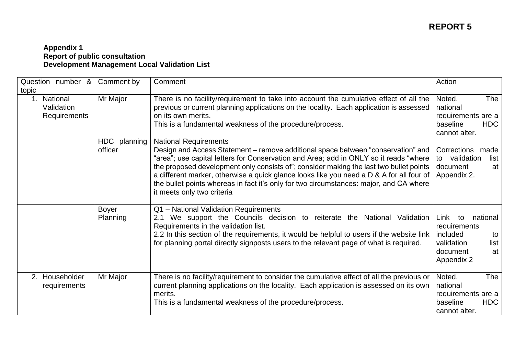### **Appendix 1 Report of public consultation Development Management Local Validation List**

| Question number &<br>topic                       | Comment by               | Comment                                                                                                                                                                                                                                                                                                                                                                                                                                                                                                                 | Action                                                                                                         |
|--------------------------------------------------|--------------------------|-------------------------------------------------------------------------------------------------------------------------------------------------------------------------------------------------------------------------------------------------------------------------------------------------------------------------------------------------------------------------------------------------------------------------------------------------------------------------------------------------------------------------|----------------------------------------------------------------------------------------------------------------|
| 1. National<br>Validation<br><b>Requirements</b> | Mr Major                 | There is no facility/requirement to take into account the cumulative effect of all the<br>previous or current planning applications on the locality. Each application is assessed<br>on its own merits.<br>This is a fundamental weakness of the procedure/process.                                                                                                                                                                                                                                                     | Noted.<br>The<br>national<br>requirements are a<br><b>HDC</b><br>baseline<br>cannot alter.                     |
|                                                  | HDC planning<br>officer  | <b>National Requirements</b><br>Design and Access Statement - remove additional space between "conservation" and<br>"area"; use capital letters for Conservation and Area; add in ONLY so it reads "where<br>the proposed development only consists of"; consider making the last two bullet points<br>a different marker, otherwise a quick glance looks like you need a D & A for all four of<br>the bullet points whereas in fact it's only for two circumstances: major, and CA where<br>it meets only two criteria | Corrections<br>made<br>validation<br>list<br>to<br>document<br>at<br>Appendix 2.                               |
|                                                  | <b>Boyer</b><br>Planning | Q1 - National Validation Requirements<br>We support the Councils decision to reiterate the National Validation<br>2.1<br>Requirements in the validation list.<br>2.2 In this section of the requirements, it would be helpful to users if the website link<br>for planning portal directly signposts users to the relevant page of what is required.                                                                                                                                                                    | Link<br>to<br>national<br>requirements<br>included<br>to<br>validation<br>list<br>document<br>at<br>Appendix 2 |
| Householder<br>2.<br>requirements                | Mr Major                 | There is no facility/requirement to consider the cumulative effect of all the previous or<br>current planning applications on the locality. Each application is assessed on its own<br>merits.<br>This is a fundamental weakness of the procedure/process.                                                                                                                                                                                                                                                              | Noted.<br><b>The</b><br>national<br>requirements are a<br><b>HDC</b><br>baseline<br>cannot alter.              |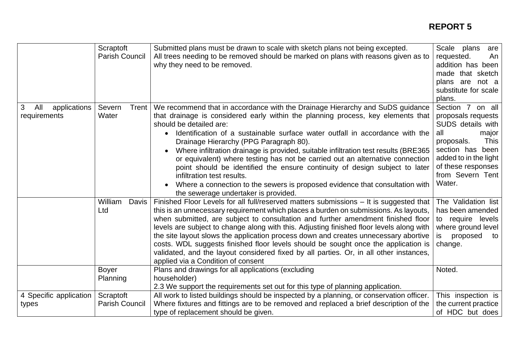|                                          | Scraptoft<br><b>Parish Council</b> | Submitted plans must be drawn to scale with sketch plans not being excepted.<br>All trees needing to be removed should be marked on plans with reasons given as to<br>why they need to be removed.                                                                                                                                                                                                                                                                                                                                                                                                                                                                                                                                   | Scale plans<br>are<br>requested.<br>An<br>addition has been<br>made that sketch<br>plans are not a<br>substitute for scale<br>plans.                                                                        |
|------------------------------------------|------------------------------------|--------------------------------------------------------------------------------------------------------------------------------------------------------------------------------------------------------------------------------------------------------------------------------------------------------------------------------------------------------------------------------------------------------------------------------------------------------------------------------------------------------------------------------------------------------------------------------------------------------------------------------------------------------------------------------------------------------------------------------------|-------------------------------------------------------------------------------------------------------------------------------------------------------------------------------------------------------------|
| 3<br>All<br>applications<br>requirements | Severn<br>Trent<br>Water           | We recommend that in accordance with the Drainage Hierarchy and SuDS guidance<br>that drainage is considered early within the planning process, key elements that<br>should be detailed are:<br>Identification of a sustainable surface water outfall in accordance with the<br>Drainage Hierarchy (PPG Paragraph 80).<br>Where infiltration drainage is provided, suitable infiltration test results (BRE365)<br>or equivalent) where testing has not be carried out an alternative connection<br>point should be identified the ensure continuity of design subject to later<br>infiltration test results.<br>Where a connection to the sewers is proposed evidence that consultation with<br>the sewerage undertaker is provided. | Section 7 on all<br>proposals requests  <br>SUDS details with<br>all<br>major<br><b>This</b><br>proposals.<br>section has been<br>added to in the light<br>of these responses<br>from Severn Tent<br>Water. |
|                                          | William<br>Davis<br>Ltd            | Finished Floor Levels for all full/reserved matters submissions - It is suggested that<br>this is an unnecessary requirement which places a burden on submissions. As layouts,<br>when submitted, are subject to consultation and further amendment finished floor<br>levels are subject to change along with this. Adjusting finished floor levels along with<br>the site layout slows the application process down and creates unnecessary abortive<br>costs. WDL suggests finished floor levels should be sought once the application is<br>validated, and the layout considered fixed by all parties. Or, in all other instances,<br>applied via a Condition of consent                                                          | The Validation list<br>has been amended<br>to require levels<br>where ground level<br>proposed<br>is<br>to<br>change.                                                                                       |
|                                          | <b>Boyer</b><br>Planning           | Plans and drawings for all applications (excluding<br>householder)<br>2.3 We support the requirements set out for this type of planning application.                                                                                                                                                                                                                                                                                                                                                                                                                                                                                                                                                                                 | Noted.                                                                                                                                                                                                      |
| 4 Specific application<br>types          | Scraptoft<br><b>Parish Council</b> | All work to listed buildings should be inspected by a planning, or conservation officer.<br>Where fixtures and fittings are to be removed and replaced a brief description of the<br>type of replacement should be given.                                                                                                                                                                                                                                                                                                                                                                                                                                                                                                            | This inspection is<br>the current practice<br>of HDC but does                                                                                                                                               |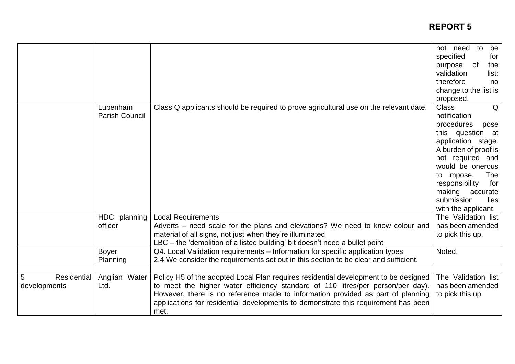|                                  |                                   |                                                                                                                                                                                                                                                                                                                                                         | not need<br>to<br>be<br>specified<br>for<br><b>of</b><br>the<br>purpose<br>validation<br>list:<br>therefore<br>no<br>change to the list is                                                                                                                                                      |
|----------------------------------|-----------------------------------|---------------------------------------------------------------------------------------------------------------------------------------------------------------------------------------------------------------------------------------------------------------------------------------------------------------------------------------------------------|-------------------------------------------------------------------------------------------------------------------------------------------------------------------------------------------------------------------------------------------------------------------------------------------------|
|                                  | Lubenham<br><b>Parish Council</b> | Class Q applicants should be required to prove agricultural use on the relevant date.                                                                                                                                                                                                                                                                   | proposed.<br><b>Class</b><br>Q<br>notification<br>procedures<br>pose<br>this question at<br>application stage.<br>A burden of proof is<br>not required and<br>would be onerous<br>to impose.<br>The<br>responsibility<br>for<br>making<br>accurate<br>submission<br>lies<br>with the applicant. |
|                                  | HDC planning<br>officer           | <b>Local Requirements</b><br>Adverts – need scale for the plans and elevations? We need to know colour and<br>material of all signs, not just when they're illuminated<br>LBC – the 'demolition of a listed building' bit doesn't need a bullet point                                                                                                   | The Validation list<br>has been amended<br>to pick this up.                                                                                                                                                                                                                                     |
|                                  | <b>Boyer</b><br>Planning          | Q4. Local Validation requirements - Information for specific application types<br>2.4 We consider the requirements set out in this section to be clear and sufficient.                                                                                                                                                                                  | Noted.                                                                                                                                                                                                                                                                                          |
| Residential<br>5<br>developments | Anglian Water<br>Ltd.             | Policy H5 of the adopted Local Plan requires residential development to be designed<br>to meet the higher water efficiency standard of 110 litres/per person/per day).<br>However, there is no reference made to information provided as part of planning<br>applications for residential developments to demonstrate this requirement has been<br>met. | The Validation list<br>has been amended<br>to pick this up                                                                                                                                                                                                                                      |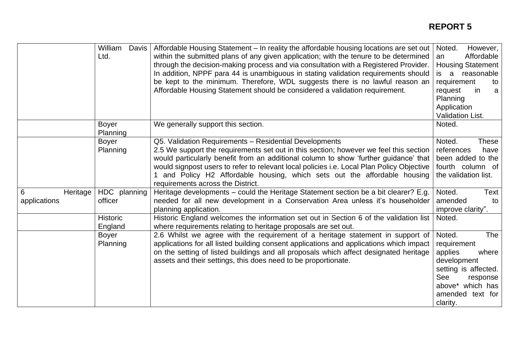|                               | William<br>Davis<br>Ltd.   | Affordable Housing Statement - In reality the affordable housing locations are set out<br>within the submitted plans of any given application; with the tenure to be determined<br>through the decision-making process and via consultation with a Registered Provider.<br>In addition, NPPF para 44 is unambiguous in stating validation requirements should<br>be kept to the minimum. Therefore, WDL suggests there is no lawful reason an<br>Affordable Housing Statement should be considered a validation requirement. | However,<br>Noted.<br>Affordable<br>an<br><b>Housing Statement</b><br>is a reasonable<br>requirement<br>to<br>in<br>request<br>a<br>Planning<br>Application<br>Validation List. |
|-------------------------------|----------------------------|------------------------------------------------------------------------------------------------------------------------------------------------------------------------------------------------------------------------------------------------------------------------------------------------------------------------------------------------------------------------------------------------------------------------------------------------------------------------------------------------------------------------------|---------------------------------------------------------------------------------------------------------------------------------------------------------------------------------|
|                               | <b>Boyer</b><br>Planning   | We generally support this section.                                                                                                                                                                                                                                                                                                                                                                                                                                                                                           | Noted.                                                                                                                                                                          |
|                               | <b>Boyer</b><br>Planning   | Q5. Validation Requirements - Residential Developments<br>2.5 We support the requirements set out in this section; however we feel this section<br>would particularly benefit from an additional column to show 'further guidance' that<br>would signpost users to refer to relevant local policies i.e. Local Plan Policy Objective<br>1 and Policy H2 Affordable housing, which sets out the affordable housing<br>requirements across the District.                                                                       | Noted.<br><b>These</b><br>references<br>have<br>been added to the<br>fourth column of<br>the validation list.                                                                   |
| 6<br>Heritage<br>applications | HDC planning<br>officer    | Heritage developments – could the Heritage Statement section be a bit clearer? E.g.<br>needed for all new development in a Conservation Area unless it's householder<br>planning application.                                                                                                                                                                                                                                                                                                                                | Noted.<br>Text<br>amended<br>to<br>improve clarity".                                                                                                                            |
|                               | <b>Historic</b><br>England | Historic England welcomes the information set out in Section 6 of the validation list<br>where requirements relating to heritage proposals are set out.                                                                                                                                                                                                                                                                                                                                                                      | Noted.                                                                                                                                                                          |
|                               | <b>Boyer</b><br>Planning   | 2.6 Whilst we agree with the requirement of a heritage statement in support of<br>applications for all listed building consent applications and applications which impact<br>on the setting of listed buildings and all proposals which affect designated heritage<br>assets and their settings, this does need to be proportionate.                                                                                                                                                                                         | Noted.<br>The<br>requirement<br>applies<br>where<br>development<br>setting is affected.<br>See<br>response<br>above* which has<br>amended text for<br>clarity.                  |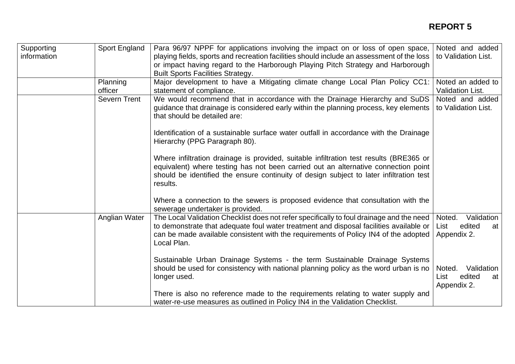# **REPORT 5**

| Supporting<br>information | Sport England       | Para 96/97 NPPF for applications involving the impact on or loss of open space,<br>playing fields, sports and recreation facilities should include an assessment of the loss  <br>or impact having regard to the Harborough Playing Pitch Strategy and Harborough<br><b>Built Sports Facilities Strategy.</b> | Noted and added<br>to Validation List.                      |
|---------------------------|---------------------|---------------------------------------------------------------------------------------------------------------------------------------------------------------------------------------------------------------------------------------------------------------------------------------------------------------|-------------------------------------------------------------|
|                           | Planning<br>officer | Major development to have a Mitigating climate change Local Plan Policy CC1:<br>statement of compliance.                                                                                                                                                                                                      | Noted an added to<br><b>Validation List.</b>                |
|                           | <b>Severn Trent</b> | We would recommend that in accordance with the Drainage Hierarchy and SuDS<br>guidance that drainage is considered early within the planning process, key elements<br>that should be detailed are:                                                                                                            | Noted and added<br>to Validation List.                      |
|                           |                     | Identification of a sustainable surface water outfall in accordance with the Drainage<br>Hierarchy (PPG Paragraph 80).                                                                                                                                                                                        |                                                             |
|                           |                     | Where infiltration drainage is provided, suitable infiltration test results (BRE365 or<br>equivalent) where testing has not been carried out an alternative connection point<br>should be identified the ensure continuity of design subject to later infiltration test<br>results.                           |                                                             |
|                           |                     | Where a connection to the sewers is proposed evidence that consultation with the<br>sewerage undertaker is provided.                                                                                                                                                                                          |                                                             |
|                           | Anglian Water       | The Local Validation Checklist does not refer specifically to foul drainage and the need<br>to demonstrate that adequate foul water treatment and disposal facilities available or<br>can be made available consistent with the requirements of Policy IN4 of the adopted<br>Local Plan.                      | Noted.<br>Validation<br>List<br>edited<br>at<br>Appendix 2. |
|                           |                     | Sustainable Urban Drainage Systems - the term Sustainable Drainage Systems<br>should be used for consistency with national planning policy as the word urban is no<br>longer used.                                                                                                                            | Validation<br>Noted.<br>edited<br>List<br>at<br>Appendix 2. |
|                           |                     | There is also no reference made to the requirements relating to water supply and<br>water-re-use measures as outlined in Policy IN4 in the Validation Checklist.                                                                                                                                              |                                                             |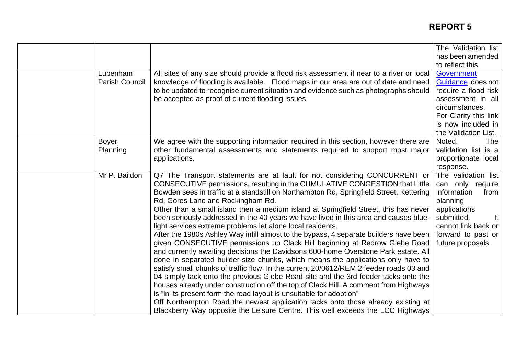|                                   |                                                                                                                                                                                                                                                                                                                                                                                                                                                                                                                                                                                                                                                                                                                                                                                                                                                                                                                                                                                                                                                                                                                                                                                                                                                                                                                                                                                                               | The Validation list<br>has been amended<br>to reflect this.                                                                                                                      |
|-----------------------------------|---------------------------------------------------------------------------------------------------------------------------------------------------------------------------------------------------------------------------------------------------------------------------------------------------------------------------------------------------------------------------------------------------------------------------------------------------------------------------------------------------------------------------------------------------------------------------------------------------------------------------------------------------------------------------------------------------------------------------------------------------------------------------------------------------------------------------------------------------------------------------------------------------------------------------------------------------------------------------------------------------------------------------------------------------------------------------------------------------------------------------------------------------------------------------------------------------------------------------------------------------------------------------------------------------------------------------------------------------------------------------------------------------------------|----------------------------------------------------------------------------------------------------------------------------------------------------------------------------------|
| Lubenham<br><b>Parish Council</b> | All sites of any size should provide a flood risk assessment if near to a river or local<br>knowledge of flooding is available. Flood maps in our area are out of date and need<br>to be updated to recognise current situation and evidence such as photographs should<br>be accepted as proof of current flooding issues                                                                                                                                                                                                                                                                                                                                                                                                                                                                                                                                                                                                                                                                                                                                                                                                                                                                                                                                                                                                                                                                                    | <b>Government</b><br>Guidance does not<br>require a flood risk<br>assessment in all<br>circumstances.<br>For Clarity this link<br>is now included in<br>the Validation List.     |
| <b>Boyer</b><br>Planning          | We agree with the supporting information required in this section, however there are<br>other fundamental assessments and statements required to support most major<br>applications.                                                                                                                                                                                                                                                                                                                                                                                                                                                                                                                                                                                                                                                                                                                                                                                                                                                                                                                                                                                                                                                                                                                                                                                                                          | Noted.<br><b>The</b><br>validation list is a<br>proportionate local<br>response.                                                                                                 |
| Mr P. Baildon                     | Q7 The Transport statements are at fault for not considering CONCURRENT or<br>CONSECUTIVE permissions, resulting in the CUMULATIVE CONGESTION that Little<br>Bowden sees in traffic at a standstill on Northampton Rd, Springfield Street, Kettering<br>Rd, Gores Lane and Rockingham Rd.<br>Other than a small island then a medium island at Springfield Street, this has never<br>been seriously addressed in the 40 years we have lived in this area and causes blue-<br>light services extreme problems let alone local residents.<br>After the 1980s Ashley Way infill almost to the bypass, 4 separate builders have been<br>given CONSECUTIVE permissions up Clack Hill beginning at Redrow Glebe Road<br>and currently awaiting decisions the Davidsons 600-home Overstone Park estate. All<br>done in separated builder-size chunks, which means the applications only have to<br>satisfy small chunks of traffic flow. In the current 20/0612/REM 2 feeder roads 03 and<br>04 simply tack onto the previous Glebe Road site and the 3rd feeder tacks onto the<br>houses already under construction off the top of Clack Hill. A comment from Highways<br>is "in its present form the road layout is unsuitable for adoption"<br>Off Northampton Road the newest application tacks onto those already existing at<br>Blackberry Way opposite the Leisure Centre. This well exceeds the LCC Highways | The validation list<br>can only require<br>information<br>from<br>planning<br>applications<br>submitted.<br>It<br>cannot link back or<br>forward to past or<br>future proposals. |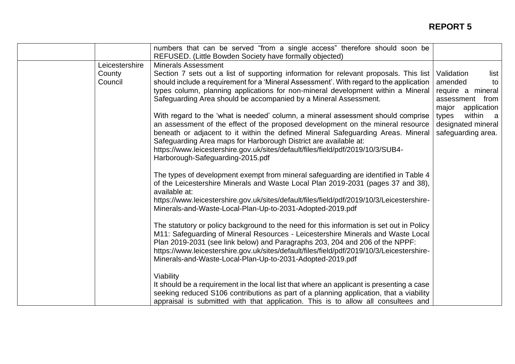|                                     | numbers that can be served "from a single access" therefore should soon be<br>REFUSED. (Little Bowden Society have formally objected)                                                                                                                                                                                                                                                                                                                                                                                                                                                                                                                                                                                                                                                                                                                                                                                                                                                                                                                                                                                                                                                                                                                                                                                                                                                                                                              |                                                                                                                                                                      |
|-------------------------------------|----------------------------------------------------------------------------------------------------------------------------------------------------------------------------------------------------------------------------------------------------------------------------------------------------------------------------------------------------------------------------------------------------------------------------------------------------------------------------------------------------------------------------------------------------------------------------------------------------------------------------------------------------------------------------------------------------------------------------------------------------------------------------------------------------------------------------------------------------------------------------------------------------------------------------------------------------------------------------------------------------------------------------------------------------------------------------------------------------------------------------------------------------------------------------------------------------------------------------------------------------------------------------------------------------------------------------------------------------------------------------------------------------------------------------------------------------|----------------------------------------------------------------------------------------------------------------------------------------------------------------------|
| Leicestershire<br>County<br>Council | <b>Minerals Assessment</b><br>Section 7 sets out a list of supporting information for relevant proposals. This list<br>should include a requirement for a 'Mineral Assessment'. With regard to the application<br>types column, planning applications for non-mineral development within a Mineral<br>Safeguarding Area should be accompanied by a Mineral Assessment.<br>With regard to the 'what is needed' column, a mineral assessment should comprise<br>an assessment of the effect of the proposed development on the mineral resource<br>beneath or adjacent to it within the defined Mineral Safeguarding Areas. Mineral<br>Safeguarding Area maps for Harborough District are available at:<br>https://www.leicestershire.gov.uk/sites/default/files/field/pdf/2019/10/3/SUB4-<br>Harborough-Safeguarding-2015.pdf<br>The types of development exempt from mineral safeguarding are identified in Table 4<br>of the Leicestershire Minerals and Waste Local Plan 2019-2031 (pages 37 and 38),<br>available at:<br>https://www.leicestershire.gov.uk/sites/default/files/field/pdf/2019/10/3/Leicestershire-<br>Minerals-and-Waste-Local-Plan-Up-to-2031-Adopted-2019.pdf<br>The statutory or policy background to the need for this information is set out in Policy<br>M11: Safeguarding of Mineral Resources - Leicestershire Minerals and Waste Local<br>Plan 2019-2031 (see link below) and Paragraphs 203, 204 and 206 of the NPPF: | Validation<br>list<br>amended<br>to<br>require a mineral<br>assessment from<br>application<br>major<br>within a<br>types<br>designated mineral<br>safeguarding area. |
|                                     | https://www.leicestershire.gov.uk/sites/default/files/field/pdf/2019/10/3/Leicestershire-<br>Minerals-and-Waste-Local-Plan-Up-to-2031-Adopted-2019.pdf<br>Viability<br>It should be a requirement in the local list that where an applicant is presenting a case<br>seeking reduced S106 contributions as part of a planning application, that a viability<br>appraisal is submitted with that application. This is to allow all consultees and                                                                                                                                                                                                                                                                                                                                                                                                                                                                                                                                                                                                                                                                                                                                                                                                                                                                                                                                                                                                    |                                                                                                                                                                      |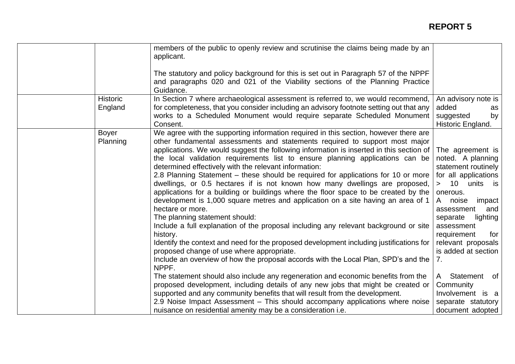|                            | members of the public to openly review and scrutinise the claims being made by an<br>applicant.                                                                                                                                                                                                                                                                                                                                                                                                                                                                                                                                                                                                                                                                                                                                                                                                                                                                                                                                                                                                                                                                                                                                                                                                                                                                                                                                                                                                                                                                 |                                                                                                                                                                                                                                                                                                                                                                               |
|----------------------------|-----------------------------------------------------------------------------------------------------------------------------------------------------------------------------------------------------------------------------------------------------------------------------------------------------------------------------------------------------------------------------------------------------------------------------------------------------------------------------------------------------------------------------------------------------------------------------------------------------------------------------------------------------------------------------------------------------------------------------------------------------------------------------------------------------------------------------------------------------------------------------------------------------------------------------------------------------------------------------------------------------------------------------------------------------------------------------------------------------------------------------------------------------------------------------------------------------------------------------------------------------------------------------------------------------------------------------------------------------------------------------------------------------------------------------------------------------------------------------------------------------------------------------------------------------------------|-------------------------------------------------------------------------------------------------------------------------------------------------------------------------------------------------------------------------------------------------------------------------------------------------------------------------------------------------------------------------------|
|                            | The statutory and policy background for this is set out in Paragraph 57 of the NPPF<br>and paragraphs 020 and 021 of the Viability sections of the Planning Practice<br>Guidance.                                                                                                                                                                                                                                                                                                                                                                                                                                                                                                                                                                                                                                                                                                                                                                                                                                                                                                                                                                                                                                                                                                                                                                                                                                                                                                                                                                               |                                                                                                                                                                                                                                                                                                                                                                               |
| <b>Historic</b><br>England | In Section 7 where archaeological assessment is referred to, we would recommend,<br>for completeness, that you consider including an advisory footnote setting out that any<br>works to a Scheduled Monument would require separate Scheduled Monument<br>Consent.                                                                                                                                                                                                                                                                                                                                                                                                                                                                                                                                                                                                                                                                                                                                                                                                                                                                                                                                                                                                                                                                                                                                                                                                                                                                                              | An advisory note is<br>added<br>as<br>suggested<br>by<br>Historic England.                                                                                                                                                                                                                                                                                                    |
| <b>Boyer</b><br>Planning   | We agree with the supporting information required in this section, however there are<br>other fundamental assessments and statements required to support most major<br>applications. We would suggest the following information is inserted in this section of<br>the local validation requirements list to ensure planning applications can be<br>determined effectively with the relevant information:<br>2.8 Planning Statement – these should be required for applications for 10 or more<br>dwellings, or 0.5 hectares if is not known how many dwellings are proposed,<br>applications for a building or buildings where the floor space to be created by the<br>development is 1,000 square metres and application on a site having an area of 1<br>hectare or more.<br>The planning statement should:<br>Include a full explanation of the proposal including any relevant background or site<br>history.<br>Identify the context and need for the proposed development including justifications for<br>proposed change of use where appropriate.<br>Include an overview of how the proposal accords with the Local Plan, SPD's and the<br>NPPF.<br>The statement should also include any regeneration and economic benefits from the<br>proposed development, including details of any new jobs that might be created or<br>supported and any community benefits that will result from the development.<br>2.9 Noise Impact Assessment – This should accompany applications where noise<br>nuisance on residential amenity may be a consideration i.e. | The agreement is<br>noted. A planning<br>statement routinely<br>for all applications<br>> 10 units is<br>onerous.<br>noise<br>impact<br>A<br>assessment<br>and<br>separate<br>lighting<br>assessment<br>requirement<br>for<br>relevant proposals<br>is added at section<br>7.<br>Statement of<br>A<br>Community<br>Involvement is a<br>separate statutory<br>document adopted |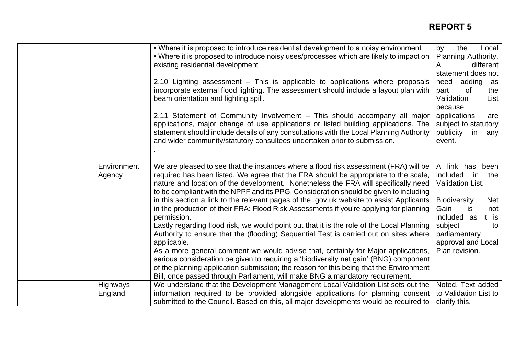|                       | • Where it is proposed to introduce residential development to a noisy environment<br>• Where it is proposed to introduce noisy uses/processes which are likely to impact on<br>existing residential development<br>2.10 Lighting assessment – This is applicable to applications where proposals<br>incorporate external flood lighting. The assessment should include a layout plan with<br>beam orientation and lighting spill.<br>2.11 Statement of Community Involvement - This should accompany all major<br>applications, major change of use applications or listed building applications. The<br>statement should include details of any consultations with the Local Planning Authority<br>and wider community/statutory consultees undertaken prior to submission.                                                                                                                                                                                                                                                                                                                                                | by<br>the<br>Local<br>Planning Authority.<br>different<br>A<br>statement does not<br>adding<br>need<br>as<br>part<br>0f<br>the  <br>Validation<br>List  <br>because<br>applications<br>are<br>subject to statutory<br>publicity<br>any<br>in.<br>event. |
|-----------------------|------------------------------------------------------------------------------------------------------------------------------------------------------------------------------------------------------------------------------------------------------------------------------------------------------------------------------------------------------------------------------------------------------------------------------------------------------------------------------------------------------------------------------------------------------------------------------------------------------------------------------------------------------------------------------------------------------------------------------------------------------------------------------------------------------------------------------------------------------------------------------------------------------------------------------------------------------------------------------------------------------------------------------------------------------------------------------------------------------------------------------|---------------------------------------------------------------------------------------------------------------------------------------------------------------------------------------------------------------------------------------------------------|
| Environment<br>Agency | We are pleased to see that the instances where a flood risk assessment (FRA) will be<br>required has been listed. We agree that the FRA should be appropriate to the scale,<br>nature and location of the development. Nonetheless the FRA will specifically need<br>to be compliant with the NPPF and its PPG. Consideration should be given to including<br>in this section a link to the relevant pages of the .gov.uk website to assist Applicants<br>in the production of their FRA: Flood Risk Assessments if you're applying for planning<br>permission.<br>Lastly regarding flood risk, we would point out that it is the role of the Local Planning<br>Authority to ensure that the (flooding) Sequential Test is carried out on sites where<br>applicable.<br>As a more general comment we would advise that, certainly for Major applications,<br>serious consideration be given to requiring a 'biodiversity net gain' (BNG) component<br>of the planning application submission; the reason for this being that the Environment<br>Bill, once passed through Parliament, will make BNG a mandatory requirement. | A link has<br>been<br>included<br>the<br>in.<br><b>Validation List.</b><br><b>Biodiversity</b><br><b>Net</b><br>Gain<br>is<br>not<br>included as<br>it is<br>subject<br>to<br>parliamentary<br>approval and Local<br>Plan revision.                     |
| Highways<br>England   | We understand that the Development Management Local Validation List sets out the<br>information required to be provided alongside applications for planning consent<br>submitted to the Council. Based on this, all major developments would be required to                                                                                                                                                                                                                                                                                                                                                                                                                                                                                                                                                                                                                                                                                                                                                                                                                                                                  | Noted. Text added<br>to Validation List to<br>clarify this.                                                                                                                                                                                             |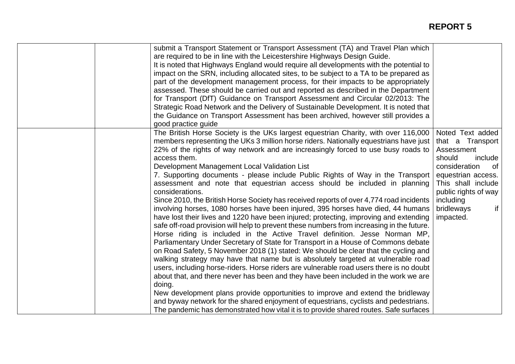| submit a Transport Statement or Transport Assessment (TA) and Travel Plan which           |                      |
|-------------------------------------------------------------------------------------------|----------------------|
| are required to be in line with the Leicestershire Highways Design Guide.                 |                      |
| It is noted that Highways England would require all developments with the potential to    |                      |
| impact on the SRN, including allocated sites, to be subject to a TA to be prepared as     |                      |
| part of the development management process, for their impacts to be appropriately         |                      |
| assessed. These should be carried out and reported as described in the Department         |                      |
| for Transport (DfT) Guidance on Transport Assessment and Circular 02/2013: The            |                      |
| Strategic Road Network and the Delivery of Sustainable Development. It is noted that      |                      |
| the Guidance on Transport Assessment has been archived, however still provides a          |                      |
| good practice guide                                                                       |                      |
| The British Horse Society is the UKs largest equestrian Charity, with over 116,000        | Noted Text added     |
| members representing the UKs 3 million horse riders. Nationally equestrians have just     | that a Transport     |
| 22% of the rights of way network and are increasingly forced to use busy roads to         | Assessment           |
| access them.                                                                              | should<br>include    |
| Development Management Local Validation List                                              | consideration<br>of  |
| 7. Supporting documents - please include Public Rights of Way in the Transport            | equestrian access.   |
| assessment and note that equestrian access should be included in planning                 | This shall include   |
| considerations.                                                                           | public rights of way |
| Since 2010, the British Horse Society has received reports of over 4,774 road incidents   | including            |
| involving horses, 1080 horses have been injured, 395 horses have died, 44 humans          | bridleways<br>if     |
| have lost their lives and 1220 have been injured; protecting, improving and extending     | impacted.            |
| safe off-road provision will help to prevent these numbers from increasing in the future. |                      |
| Horse riding is included in the Active Travel definition. Jesse Norman MP,                |                      |
| Parliamentary Under Secretary of State for Transport in a House of Commons debate         |                      |
| on Road Safety, 5 November 2018 (1) stated: We should be clear that the cycling and       |                      |
| walking strategy may have that name but is absolutely targeted at vulnerable road         |                      |
|                                                                                           |                      |
| users, including horse-riders. Horse riders are vulnerable road users there is no doubt   |                      |
| about that, and there never has been and they have been included in the work we are       |                      |
| doing.                                                                                    |                      |
| New development plans provide opportunities to improve and extend the bridleway           |                      |
| and byway network for the shared enjoyment of equestrians, cyclists and pedestrians.      |                      |
| The pandemic has demonstrated how vital it is to provide shared routes. Safe surfaces     |                      |